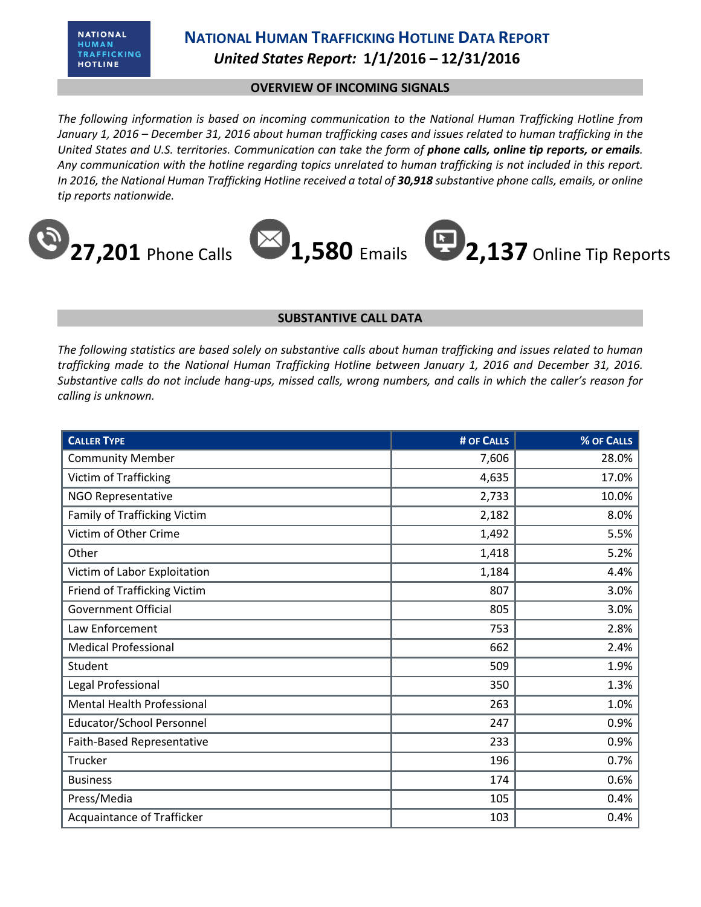**NATIONAL** HUMAN TRAFFICKING **HOTLINE** 

#### **NATIONAL HUMAN TRAFFICKING HOTLINE DATA REPORT** *United States Report:* **1/1/2016 – 12/31/2016**

#### **OVERVIEW OF INCOMING SIGNALS**

*The following information is based on incoming communication to the National Human Trafficking Hotline from January 1, 2016 – December 31, 2016 about human trafficking cases and issues related to human trafficking in the United States and U.S. territories. Communication can take the form of phone calls, online tip reports, or emails. Any communication with the hotline regarding topics unrelated to human trafficking is not included in this report. In 2016, the National Human Trafficking Hotline received a total of 30,918 substantive phone calls, emails, or online tip reports nationwide.*



#### **SUBSTANTIVE CALL DATA**

*The following statistics are based solely on substantive calls about human trafficking and issues related to human trafficking made to the National Human Trafficking Hotline between January 1, 2016 and December 31, 2016. Substantive calls do not include hang-ups, missed calls, wrong numbers, and calls in which the caller's reason for calling is unknown.*

| <b>CALLER TYPE</b>                | # OF CALLS | % OF CALLS |
|-----------------------------------|------------|------------|
| <b>Community Member</b>           | 7,606      | 28.0%      |
| <b>Victim of Trafficking</b>      | 4,635      | 17.0%      |
| NGO Representative                | 2,733      | 10.0%      |
| Family of Trafficking Victim      | 2,182      | 8.0%       |
| Victim of Other Crime             | 1,492      | 5.5%       |
| Other                             | 1,418      | 5.2%       |
| Victim of Labor Exploitation      | 1,184      | 4.4%       |
| Friend of Trafficking Victim      | 807        | 3.0%       |
| <b>Government Official</b>        | 805        | 3.0%       |
| Law Enforcement                   | 753        | 2.8%       |
| <b>Medical Professional</b>       | 662        | 2.4%       |
| Student                           | 509        | 1.9%       |
| Legal Professional                | 350        | 1.3%       |
| <b>Mental Health Professional</b> | 263        | 1.0%       |
| <b>Educator/School Personnel</b>  | 247        | 0.9%       |
| Faith-Based Representative        | 233        | 0.9%       |
| Trucker                           | 196        | 0.7%       |
| <b>Business</b>                   | 174        | 0.6%       |
| Press/Media                       | 105        | 0.4%       |
| Acquaintance of Trafficker        | 103        | 0.4%       |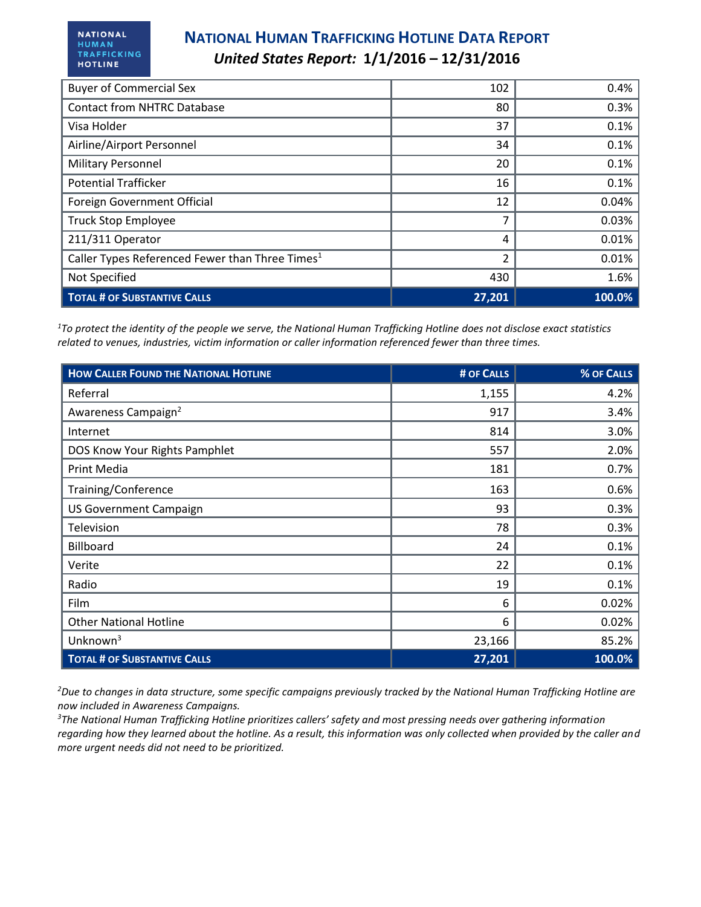| <b>Buyer of Commercial Sex</b>                              | 102    | 0.4%   |
|-------------------------------------------------------------|--------|--------|
| <b>Contact from NHTRC Database</b>                          | 80     | 0.3%   |
| Visa Holder                                                 | 37     | 0.1%   |
| Airline/Airport Personnel                                   | 34     | 0.1%   |
| <b>Military Personnel</b>                                   | 20     | 0.1%   |
| <b>Potential Trafficker</b>                                 | 16     | 0.1%   |
| Foreign Government Official                                 | 12     | 0.04%  |
| <b>Truck Stop Employee</b>                                  |        | 0.03%  |
| 211/311 Operator                                            | 4      | 0.01%  |
| Caller Types Referenced Fewer than Three Times <sup>1</sup> | 2      | 0.01%  |
| Not Specified                                               | 430    | 1.6%   |
| <b>TOTAL # OF SUBSTANTIVE CALLS</b>                         | 27,201 | 100.0% |

*<sup>1</sup>To protect the identity of the people we serve, the National Human Trafficking Hotline does not disclose exact statistics related to venues, industries, victim information or caller information referenced fewer than three times.* 

| <b>HOW CALLER FOUND THE NATIONAL HOTLINE</b> | # OF CALLS | % OF CALLS |
|----------------------------------------------|------------|------------|
| Referral                                     | 1,155      | 4.2%       |
| Awareness Campaign <sup>2</sup>              | 917        | 3.4%       |
| Internet                                     | 814        | 3.0%       |
| DOS Know Your Rights Pamphlet                | 557        | 2.0%       |
| Print Media                                  | 181        | 0.7%       |
| Training/Conference                          | 163        | 0.6%       |
| <b>US Government Campaign</b>                | 93         | 0.3%       |
| Television                                   | 78         | 0.3%       |
| <b>Billboard</b>                             | 24         | 0.1%       |
| Verite                                       | 22         | 0.1%       |
| Radio                                        | 19         | 0.1%       |
| Film                                         | 6          | 0.02%      |
| <b>Other National Hotline</b>                | 6          | 0.02%      |
| Unknown <sup>3</sup>                         | 23,166     | 85.2%      |
| <b>TOTAL # OF SUBSTANTIVE CALLS</b>          | 27,201     | 100.0%     |

*<sup>2</sup>Due to changes in data structure, some specific campaigns previously tracked by the National Human Trafficking Hotline are now included in Awareness Campaigns.* 

*<sup>3</sup>The National Human Trafficking Hotline prioritizes callers' safety and most pressing needs over gathering information regarding how they learned about the hotline. As a result, this information was only collected when provided by the caller and more urgent needs did not need to be prioritized.*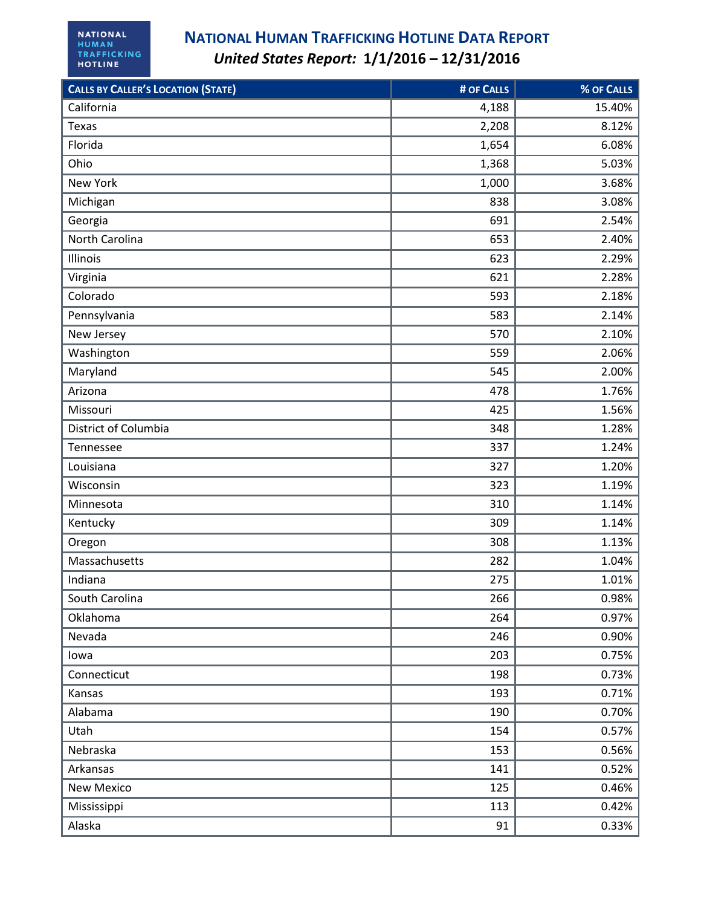| <b>CALLS BY CALLER'S LOCATION (STATE)</b> | # OF CALLS | % OF CALLS |
|-------------------------------------------|------------|------------|
| California                                | 4,188      | 15.40%     |
| Texas                                     | 2,208      | 8.12%      |
| Florida                                   | 1,654      | 6.08%      |
| Ohio                                      | 1,368      | 5.03%      |
| New York                                  | 1,000      | 3.68%      |
| Michigan                                  | 838        | 3.08%      |
| Georgia                                   | 691        | 2.54%      |
| North Carolina                            | 653        | 2.40%      |
| Illinois                                  | 623        | 2.29%      |
| Virginia                                  | 621        | 2.28%      |
| Colorado                                  | 593        | 2.18%      |
| Pennsylvania                              | 583        | 2.14%      |
| New Jersey                                | 570        | 2.10%      |
| Washington                                | 559        | 2.06%      |
| Maryland                                  | 545        | 2.00%      |
| Arizona                                   | 478        | 1.76%      |
| Missouri                                  | 425        | 1.56%      |
| District of Columbia                      | 348        | 1.28%      |
| Tennessee                                 | 337        | 1.24%      |
| Louisiana                                 | 327        | 1.20%      |
| Wisconsin                                 | 323        | 1.19%      |
| Minnesota                                 | 310        | 1.14%      |
| Kentucky                                  | 309        | 1.14%      |
| Oregon                                    | 308        | 1.13%      |
| Massachusetts                             | 282        | 1.04%      |
| Indiana                                   | 275        | 1.01%      |
| South Carolina                            | 266        | 0.98%      |
| Oklahoma                                  | 264        | 0.97%      |
| Nevada                                    | 246        | 0.90%      |
| lowa                                      | 203        | 0.75%      |
| Connecticut                               | 198        | 0.73%      |
| Kansas                                    | 193        | 0.71%      |
| Alabama                                   | 190        | 0.70%      |
| Utah                                      | 154        | 0.57%      |
| Nebraska                                  | 153        | 0.56%      |
| Arkansas                                  | 141        | 0.52%      |
| <b>New Mexico</b>                         | 125        | 0.46%      |
| Mississippi                               | 113        | 0.42%      |
| Alaska                                    | 91         | 0.33%      |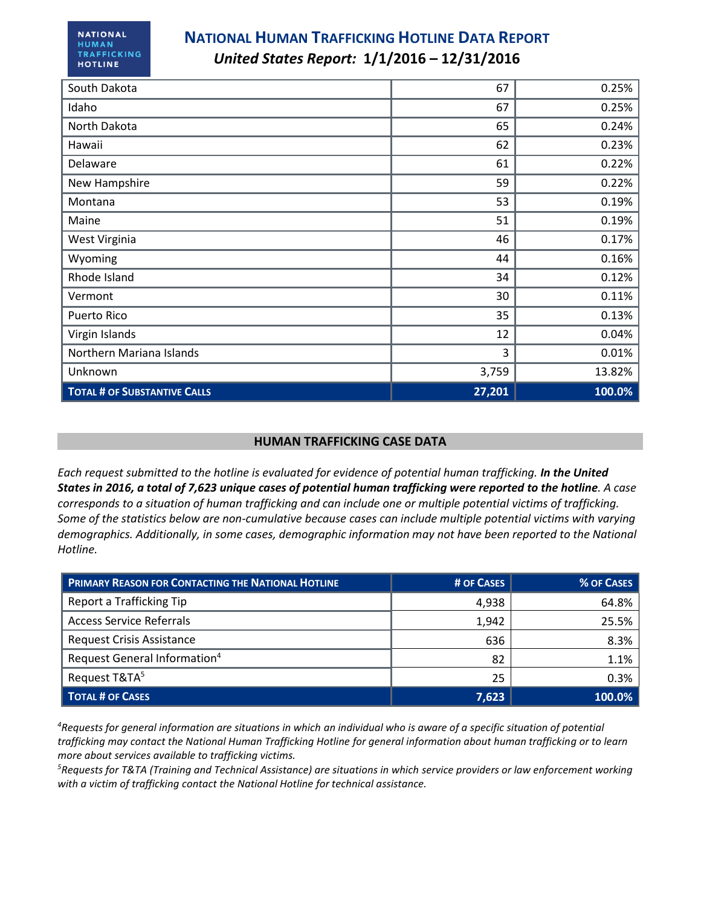| South Dakota                        | 67     | 0.25%  |
|-------------------------------------|--------|--------|
| Idaho                               | 67     | 0.25%  |
| North Dakota                        | 65     | 0.24%  |
| Hawaii                              | 62     | 0.23%  |
| Delaware                            | 61     | 0.22%  |
| New Hampshire                       | 59     | 0.22%  |
| Montana                             | 53     | 0.19%  |
| Maine                               | 51     | 0.19%  |
| West Virginia                       | 46     | 0.17%  |
| Wyoming                             | 44     | 0.16%  |
| Rhode Island                        | 34     | 0.12%  |
| Vermont                             | 30     | 0.11%  |
| Puerto Rico                         | 35     | 0.13%  |
| Virgin Islands                      | 12     | 0.04%  |
| Northern Mariana Islands            | 3      | 0.01%  |
| Unknown                             | 3,759  | 13.82% |
| <b>TOTAL # OF SUBSTANTIVE CALLS</b> | 27,201 | 100.0% |

#### **HUMAN TRAFFICKING CASE DATA**

*Each request submitted to the hotline is evaluated for evidence of potential human trafficking. In the United States in 2016, a total of 7,623 unique cases of potential human trafficking were reported to the hotline. A case corresponds to a situation of human trafficking and can include one or multiple potential victims of trafficking. Some of the statistics below are non-cumulative because cases can include multiple potential victims with varying demographics. Additionally, in some cases, demographic information may not have been reported to the National Hotline.*

| <b>PRIMARY REASON FOR CONTACTING THE NATIONAL HOTLINE</b> | # OF CASES | % OF CASES |
|-----------------------------------------------------------|------------|------------|
| Report a Trafficking Tip                                  | 4,938      | 64.8%      |
| <b>Access Service Referrals</b>                           | 1,942      | 25.5%      |
| <b>Request Crisis Assistance</b>                          | 636        | 8.3%       |
| Request General Information <sup>4</sup>                  | 82         | 1.1%       |
| Request T&TA <sup>5</sup>                                 | 25         | 0.3%       |
| <b>TOTAL # OF CASES</b>                                   | 7,623      | 100.0%     |

*<sup>4</sup>Requests for general information are situations in which an individual who is aware of a specific situation of potential trafficking may contact the National Human Trafficking Hotline for general information about human trafficking or to learn more about services available to trafficking victims.* 

*<sup>5</sup>Requests for T&TA (Training and Technical Assistance) are situations in which service providers or law enforcement working with a victim of trafficking contact the National Hotline for technical assistance.*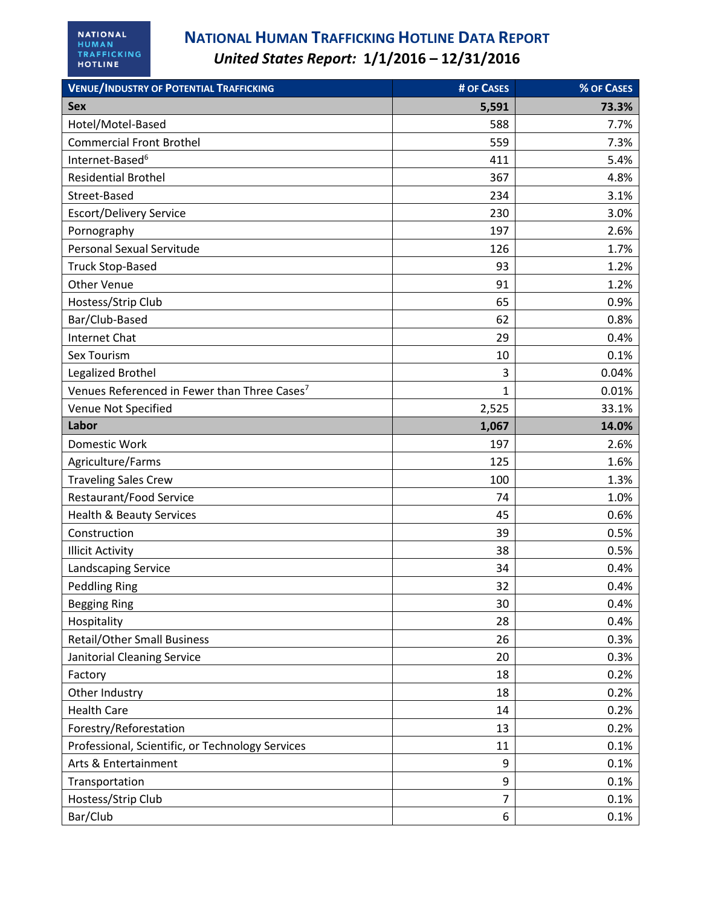| <b>VENUE/INDUSTRY OF POTENTIAL TRAFFICKING</b>           | # OF CASES     | % OF CASES |
|----------------------------------------------------------|----------------|------------|
| <b>Sex</b>                                               | 5,591          | 73.3%      |
| Hotel/Motel-Based                                        | 588            | 7.7%       |
| <b>Commercial Front Brothel</b>                          | 559            | 7.3%       |
| Internet-Based <sup>6</sup>                              | 411            | 5.4%       |
| <b>Residential Brothel</b>                               | 367            | 4.8%       |
| Street-Based                                             | 234            | 3.1%       |
| <b>Escort/Delivery Service</b>                           | 230            | 3.0%       |
| Pornography                                              | 197            | 2.6%       |
| Personal Sexual Servitude                                | 126            | 1.7%       |
| <b>Truck Stop-Based</b>                                  | 93             | 1.2%       |
| <b>Other Venue</b>                                       | 91             | 1.2%       |
| Hostess/Strip Club                                       | 65             | 0.9%       |
| Bar/Club-Based                                           | 62             | 0.8%       |
| <b>Internet Chat</b>                                     | 29             | 0.4%       |
| Sex Tourism                                              | 10             | 0.1%       |
| Legalized Brothel                                        | 3              | 0.04%      |
| Venues Referenced in Fewer than Three Cases <sup>7</sup> | $\mathbf{1}$   | 0.01%      |
| Venue Not Specified                                      | 2,525          | 33.1%      |
| Labor                                                    | 1,067          | 14.0%      |
| Domestic Work                                            | 197            | 2.6%       |
| Agriculture/Farms                                        | 125            | 1.6%       |
| <b>Traveling Sales Crew</b>                              | 100            | 1.3%       |
| Restaurant/Food Service                                  | 74             | 1.0%       |
| <b>Health &amp; Beauty Services</b>                      | 45             | 0.6%       |
| Construction                                             | 39             | 0.5%       |
| <b>Illicit Activity</b>                                  | 38             | 0.5%       |
| Landscaping Service                                      | 34             | 0.4%       |
| <b>Peddling Ring</b>                                     | 32             | 0.4%       |
| <b>Begging Ring</b>                                      | 30             | 0.4%       |
| Hospitality                                              | 28             | 0.4%       |
| <b>Retail/Other Small Business</b>                       | 26             | 0.3%       |
| Janitorial Cleaning Service                              | 20             | 0.3%       |
| Factory                                                  | 18             | 0.2%       |
| Other Industry                                           | 18             | 0.2%       |
| <b>Health Care</b>                                       | 14             | 0.2%       |
| Forestry/Reforestation                                   | 13             | 0.2%       |
| Professional, Scientific, or Technology Services         | 11             | 0.1%       |
| Arts & Entertainment                                     | 9              | 0.1%       |
| Transportation                                           | 9              | 0.1%       |
| Hostess/Strip Club                                       | $\overline{7}$ | 0.1%       |
| Bar/Club                                                 | 6              | 0.1%       |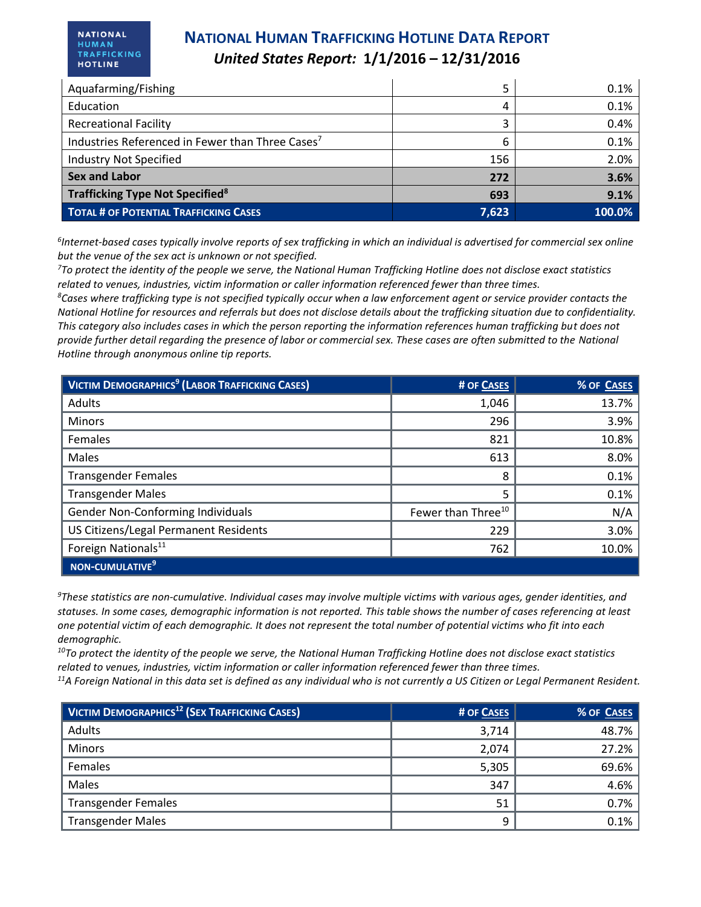**NATIONAL** HUMAN TRAFFICKING **HOTLINE** 

| Aquafarming/Fishing                                          |       | 0.1%   |
|--------------------------------------------------------------|-------|--------|
| Education                                                    | 4     | 0.1%   |
| <b>Recreational Facility</b>                                 |       | 0.4%   |
| Industries Referenced in Fewer than Three Cases <sup>7</sup> | 6     | 0.1%   |
| <b>Industry Not Specified</b>                                | 156   | 2.0%   |
| <b>Sex and Labor</b>                                         | 272   | 3.6%   |
| Trafficking Type Not Specified <sup>8</sup>                  | 693   | 9.1%   |
| <b>TOTAL # OF POTENTIAL TRAFFICKING CASES</b>                | 7,623 | 100.0% |

*6 Internet-based cases typically involve reports of sex trafficking in which an individual is advertised for commercial sex online but the venue of the sex act is unknown or not specified.*

*<sup>7</sup>To protect the identity of the people we serve, the National Human Trafficking Hotline does not disclose exact statistics related to venues, industries, victim information or caller information referenced fewer than three times.* 

*<sup>8</sup>Cases where trafficking type is not specified typically occur when a law enforcement agent or service provider contacts the National Hotline for resources and referrals but does not disclose details about the trafficking situation due to confidentiality. This category also includes cases in which the person reporting the information references human trafficking but does not provide further detail regarding the presence of labor or commercial sex. These cases are often submitted to the National Hotline through anonymous online tip reports.*

| <b>VICTIM DEMOGRAPHICS<sup>9</sup> (LABOR TRAFFICKING CASES)</b> | # OF CASES                     | % OF CASES |
|------------------------------------------------------------------|--------------------------------|------------|
| Adults                                                           | 1,046                          | 13.7%      |
| <b>Minors</b>                                                    | 296                            | 3.9%       |
| Females                                                          | 821                            | 10.8%      |
| Males                                                            | 613                            | 8.0%       |
| <b>Transgender Females</b>                                       | 8                              | 0.1%       |
| <b>Transgender Males</b>                                         | 5                              | 0.1%       |
| Gender Non-Conforming Individuals                                | Fewer than Three <sup>10</sup> | N/A        |
| US Citizens/Legal Permanent Residents                            | 229                            | 3.0%       |
| Foreign Nationals <sup>11</sup>                                  | 762                            | 10.0%      |
| NON-CUMULATIVE <sup>9</sup>                                      |                                |            |

*<sup>9</sup>These statistics are non-cumulative. Individual cases may involve multiple victims with various ages, gender identities, and statuses. In some cases, demographic information is not reported. This table shows the number of cases referencing at least one potential victim of each demographic. It does not represent the total number of potential victims who fit into each demographic.* 

*<sup>10</sup>To protect the identity of the people we serve, the National Human Trafficking Hotline does not disclose exact statistics related to venues, industries, victim information or caller information referenced fewer than three times. <sup>11</sup>A Foreign National in this data set is defined as any individual who is not currently a US Citizen or Legal Permanent Resident.* 

| <b>VICTIM DEMOGRAPHICS<sup>12</sup> (SEX TRAFFICKING CASES)</b> | # OF CASES | % OF CASES |
|-----------------------------------------------------------------|------------|------------|
| Adults                                                          | 3,714      | 48.7%      |
| <b>Minors</b>                                                   | 2,074      | 27.2%      |
| Females                                                         | 5,305      | 69.6%      |
| Males                                                           | 347        | 4.6%       |
| <b>Transgender Females</b>                                      | 51         | 0.7%       |
| <b>Transgender Males</b>                                        | 9          | 0.1%       |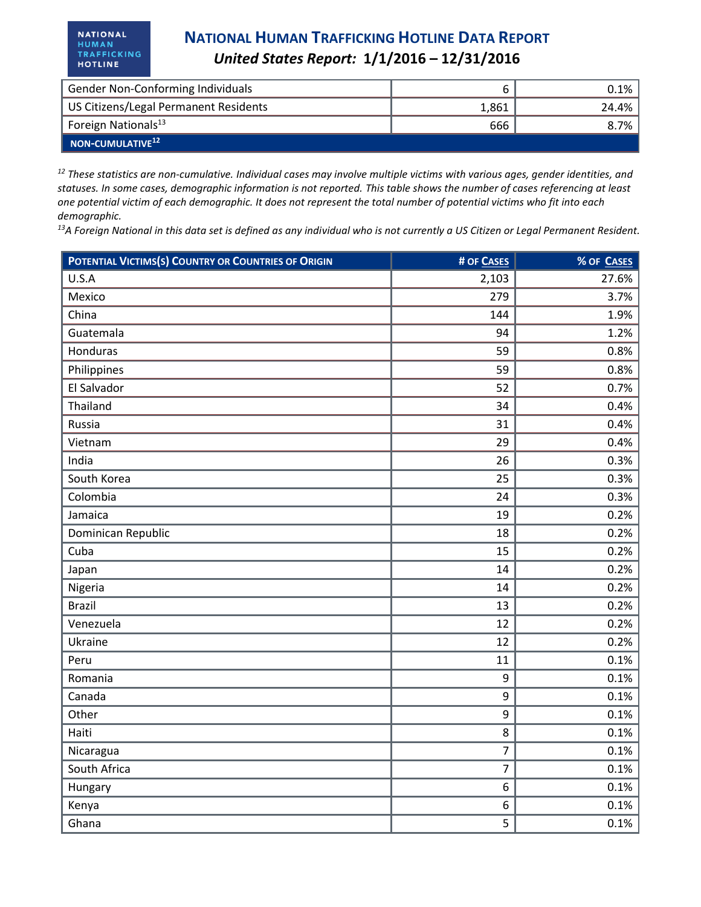| Gender Non-Conforming Individuals     |       | 0.1%    |
|---------------------------------------|-------|---------|
| US Citizens/Legal Permanent Residents | 1,861 | 24.4%   |
| Foreign Nationals <sup>13</sup>       | 666   | $8.7\%$ |
| $\blacksquare$ NON-CUMULATIVE $^{12}$ |       |         |

*<sup>12</sup> These statistics are non-cumulative. Individual cases may involve multiple victims with various ages, gender identities, and statuses. In some cases, demographic information is not reported. This table shows the number of cases referencing at least one potential victim of each demographic. It does not represent the total number of potential victims who fit into each demographic.* 

*<sup>13</sup>A Foreign National in this data set is defined as any individual who is not currently a US Citizen or Legal Permanent Resident.* 

| POTENTIAL VICTIMS(S) COUNTRY OR COUNTRIES OF ORIGIN | # OF CASES     | % OF CASES |
|-----------------------------------------------------|----------------|------------|
| U.S.A                                               | 2,103          | 27.6%      |
| Mexico                                              | 279            | 3.7%       |
| China                                               | 144            | 1.9%       |
| Guatemala                                           | 94             | 1.2%       |
| Honduras                                            | 59             | 0.8%       |
| Philippines                                         | 59             | 0.8%       |
| El Salvador                                         | 52             | 0.7%       |
| Thailand                                            | 34             | 0.4%       |
| Russia                                              | 31             | 0.4%       |
| Vietnam                                             | 29             | 0.4%       |
| India                                               | 26             | 0.3%       |
| South Korea                                         | 25             | 0.3%       |
| Colombia                                            | 24             | 0.3%       |
| Jamaica                                             | 19             | 0.2%       |
| Dominican Republic                                  | 18             | 0.2%       |
| Cuba                                                | 15             | 0.2%       |
| Japan                                               | 14             | 0.2%       |
| Nigeria                                             | 14             | 0.2%       |
| <b>Brazil</b>                                       | 13             | 0.2%       |
| Venezuela                                           | 12             | 0.2%       |
| Ukraine                                             | 12             | 0.2%       |
| Peru                                                | 11             | 0.1%       |
| Romania                                             | 9              | 0.1%       |
| Canada                                              | 9              | 0.1%       |
| Other                                               | 9              | 0.1%       |
| Haiti                                               | 8              | 0.1%       |
| Nicaragua                                           | $\overline{7}$ | 0.1%       |
| South Africa                                        | 7              | 0.1%       |
| Hungary                                             | 6              | 0.1%       |
| Kenya                                               | 6              | 0.1%       |
| Ghana                                               | 5              | 0.1%       |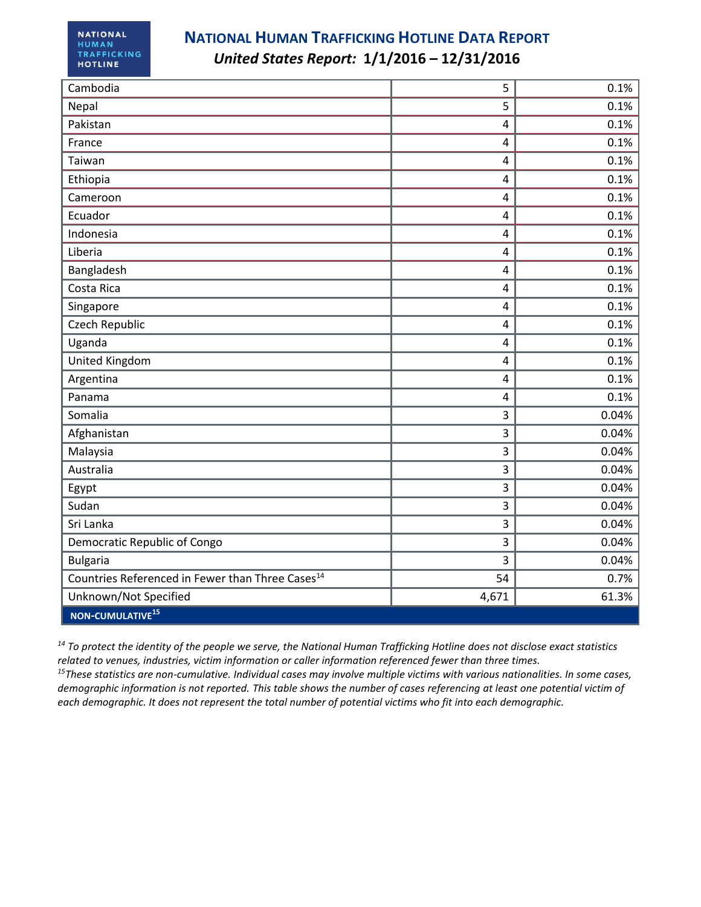| Cambodia                                                     | 5              | 0.1%  |
|--------------------------------------------------------------|----------------|-------|
| Nepal                                                        | 5              | 0.1%  |
| Pakistan                                                     | $\overline{4}$ | 0.1%  |
| France                                                       | $\overline{4}$ | 0.1%  |
| Taiwan                                                       | $\overline{4}$ | 0.1%  |
| Ethiopia                                                     | $\overline{4}$ | 0.1%  |
| Cameroon                                                     | $\overline{4}$ | 0.1%  |
| Ecuador                                                      | 4              | 0.1%  |
| Indonesia                                                    | $\overline{4}$ | 0.1%  |
| Liberia                                                      | $\overline{4}$ | 0.1%  |
| Bangladesh                                                   | 4              | 0.1%  |
| Costa Rica                                                   | 4              | 0.1%  |
| Singapore                                                    | 4              | 0.1%  |
| Czech Republic                                               | 4              | 0.1%  |
| Uganda                                                       | $\overline{4}$ | 0.1%  |
| United Kingdom                                               | 4              | 0.1%  |
| Argentina                                                    | $\overline{4}$ | 0.1%  |
| Panama                                                       | $\overline{4}$ | 0.1%  |
| Somalia                                                      | 3              | 0.04% |
| Afghanistan                                                  | 3              | 0.04% |
| Malaysia                                                     | 3              | 0.04% |
| Australia                                                    | 3              | 0.04% |
| Egypt                                                        | 3              | 0.04% |
| Sudan                                                        | 3              | 0.04% |
| Sri Lanka                                                    | 3              | 0.04% |
| Democratic Republic of Congo                                 | 3              | 0.04% |
| <b>Bulgaria</b>                                              | 3              | 0.04% |
| Countries Referenced in Fewer than Three Cases <sup>14</sup> | 54             | 0.7%  |
| Unknown/Not Specified                                        | 4,671          | 61.3% |
| NON-CUMULATIVE <sup>15</sup>                                 |                |       |

*<sup>14</sup> To protect the identity of the people we serve, the National Human Trafficking Hotline does not disclose exact statistics related to venues, industries, victim information or caller information referenced fewer than three times.* 

*<sup>15</sup>These statistics are non-cumulative. Individual cases may involve multiple victims with various nationalities. In some cases, demographic information is not reported. This table shows the number of cases referencing at least one potential victim of each demographic. It does not represent the total number of potential victims who fit into each demographic.*